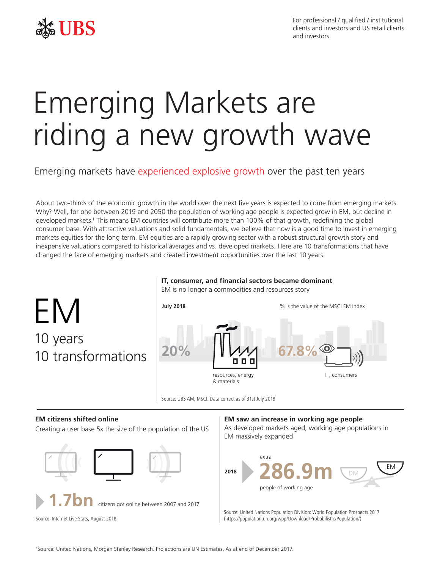

For professional / qualified / institutional clients and investors and US retail clients and investors.

# Emerging Markets are riding a new growth wave

Emerging markets have experienced explosive growth over the past ten years

About two-thirds of the economic growth in the world over the next five years is expected to come from emerging markets. Why? Well, for one between 2019 and 2050 the population of working age people is expected grow in EM, but decline in developed markets.<sup>1</sup> This means EM countries will contribute more than 100% of that growth, redefining the global consumer base. With attractive valuations and solid fundamentals, we believe that now is a good time to invest in emerging markets equities for the long term. EM equities are a rapidly growing sector with a robust structural growth story and inexpensive valuations compared to historical averages and vs. developed markets. Here are 10 transformations that have changed the face of emerging markets and created investment opportunities over the last 10 years.



## **IT, consumer, and financial sectors became dominant**

## **EM citizens shifted online**

Creating a user base 5x the size of the population of the US





**1.7bn** citizens got online between 2007 and 2017

Source: Internet Live Stats, August 2018

## **EM saw an increase in working age people**

As developed markets aged, working age populations in EM massively expanded



Source: United Nations Population Division: World Population Prospects 2017 (https://population.un.org/wpp/Download/Probabilistic/Population/)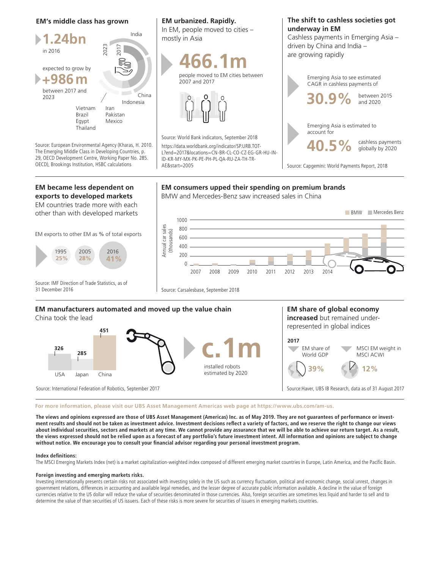### **EM's middle class has grown**

**1.24bn +986m** in 2016 expected to grow by between 2017 and 2023 India China Indonesia Vietnam Brazil Egypt Thailand Iran Pakistan Mexico 2023<br>
Mexico 2023<br>
Mexico 2023<br>
Mexico

Source: European Environmental Agency (Kharas, H. 2010. The Emerging Middle Class in Developing Countries, p. 29, OECD Development Centre, Working Paper No. 285. OECD), Brookings Institution, HSBC calculations

## **EM urbanized. Rapidly.**

In EM, people moved to cities – mostly in Asia





Source: World Bank indicators, September 2018 https://data.worldbank.org/indicator/SP.URB.TOT-L?end=2017&locations=CN-BR-CL-CO-CZ-EG-GR-HU-IN-ID-KR-MY-MX-PK-PE-PH-PL-QA-RU-ZA-TH-TR-AE&start=2005

**EM consumers upped their spending on premium brands**

BMW and Mercedes-Benz saw increased sales in China

## **The shift to cashless societies got underway in EM**

Cashless payments in Emerging Asia – driven by China and India – are growing rapidly



Source: Capgemini: World Payments Report, 2018

## **EM became less dependent on exports to developed markets**

EM countries trade more with each other than with developed markets

EM exports to other EM as % of total exports



Source: IMF Direction of Trade Statistics, as of 31 December 2016

Source: Carsalesbase, September 2018

## **EM manufacturers automated and moved up the value chain**

China took the lead



Source: International Federation of Robotics, September 2017

**increased** but remained underrepresented in global indices

**EM share of global economy** 



Source:Haver, UBS IB Research, data as of 31 August 2017

#### **For more information, please visit our UBS Asset Management Americas web page at https://www.ubs.com/am-us.**

**The views and opinions expressed are those of UBS Asset Management (Americas) Inc. as of May 2019. They are not guarantees of performance or investment results and should not be taken as investment advice. Investment decisions reflect a variety of factors, and we reserve the right to change our views about individual securities, sectors and markets at any time. We cannot provide any assurance that we will be able to achieve our return target. As a result, the views expressed should not be relied upon as a forecast of any portfolio's future investment intent. All information and opinions are subject to change without notice. We encourage you to consult your financial advisor regarding your personal investment program.**

#### **Index definitions:**

The MSCI Emerging Markets Index (net) is a market capitalization-weighted index composed of different emerging market countries in Europe, Latin America, and the Pacific Basin.

#### **Foreign investing and emerging markets risks.**

Investing internationally presents certain risks not associated with investing solely in the US such as currency fluctuation, political and economic change, social unrest, changes in government relations, differences in accounting and available legal remedies, and the lesser degree of accurate public information available. A decline in the value of foreign currencies relative to the US dollar will reduce the value of securities denominated in those currencies. Also, foreign securities are sometimes less liquid and harder to sell and to determine the value of than securities of US issuers. Each of these risks is more severe for securities of issuers in emerging markets countries.

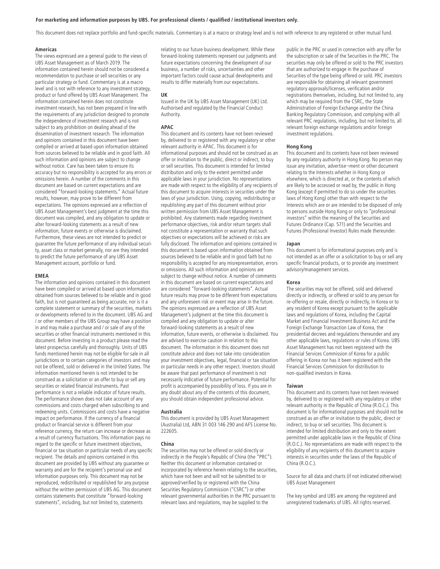#### **For marketing and information purposes by UBS. For professional clients / qualified / institutional investors only.**

This document does not replace portfolio and fund-specific materials. Commentary is at a macro or strategy level and is not with reference to any registered or other mutual fund.

#### **Americas**

The views expressed are a general guide to the views of UBS Asset Management as of March 2019. The information contained herein should not be considered a recommendation to purchase or sell securities or any particular strategy or fund. Commentary is at a macro level and is not with reference to any investment strategy, product or fund offered by UBS Asset Management. The information contained herein does not constitute investment research, has not been prepared in line with the requirements of any jurisdiction designed to promote the independence of investment research and is not subject to any prohibition on dealing ahead of the dissemination of investment research. The information and opinions contained in this document have been compiled or arrived at based upon information obtained from sources believed to be reliable and in good faith. All such information and opinions are subject to change without notice. Care has been taken to ensure its accuracy but no responsibility is accepted for any errors or omissions herein. A number of the comments in this document are based on current expectations and are considered "forward-looking statements." Actual future results, however, may prove to be different from expectations. The opinions expressed are a reflection of UBS Asset Management's best judgment at the time this document was compiled, and any obligation to update or alter forward-looking statements as a result of new information, future events or otherwise is disclaimed. Furthermore, these views are not intended to predict or guarantee the future performance of any individual security, asset class or market generally, nor are they intended to predict the future performance of any UBS Asset Management account, portfolio or fund.

#### **EMEA**

The information and opinions contained in this document have been compiled or arrived at based upon information obtained from sources believed to be reliable and in good faith, but is not guaranteed as being accurate, nor is it a complete statement or summary of the securities, markets or developments referred to in the document. UBS AG and / or other members of the UBS Group may have a position in and may make a purchase and / or sale of any of the securities or other financial instruments mentioned in this document. Before investing in a product please read the latest prospectus carefully and thoroughly. Units of UBS funds mentioned herein may not be eligible for sale in all jurisdictions or to certain categories of investors and may not be offered, sold or delivered in the United States. The information mentioned herein is not intended to be construed as a solicitation or an offer to buy or sell any securities or related financial instruments. Past performance is not a reliable indicator of future results. The performance shown does not take account of any commissions and costs charged when subscribing to and redeeming units. Commissions and costs have a negative impact on performance. If the currency of a financial product or financial service is different from your reference currency, the return can increase or decrease as a result of currency fluctuations. This information pays no regard to the specific or future investment objectives, financial or tax situation or particular needs of any specific recipient. The details and opinions contained in this document are provided by UBS without any guarantee or warranty and are for the recipient's personal use and information purposes only. This document may not be reproduced, redistributed or republished for any purpose without the written permission of UBS AG. This document contains statements that constitute "forward-looking statements", including, but not limited to, statements

relating to our future business development. While these forward-looking statements represent our judgments and future expectations concerning the development of our business, a number of risks, uncertainties and other important factors could cause actual developments and results to differ materially from our expectations.

#### **UK**

Issued in the UK by UBS Asset Management (UK) Ltd. Authorised and regulated by the Financial Conduct Authority.

#### **APAC**

This document and its contents have not been reviewed by, delivered to or registered with any regulatory or other relevant authority in APAC. This document is for informational purposes and should not be construed as an offer or invitation to the public, direct or indirect, to buy or sell securities. This document is intended for limited distribution and only to the extent permitted under applicable laws in your jurisdiction. No representations are made with respect to the eligibility of any recipients of this document to acquire interests in securities under the laws of your jurisdiction. Using, copying, redistributing or republishing any part of this document without prior written permission from UBS Asset Management is prohibited. Any statements made regarding investment performance objectives, risk and/or return targets shall not constitute a representation or warranty that such objectives or expectations will be achieved or risks are fully disclosed. The information and opinions contained in this document is based upon information obtained from sources believed to be reliable and in good faith but no responsibility is accepted for any misrepresentation, errors or omissions. All such information and opinions are subject to change without notice. A number of comments in this document are based on current expectations and are considered "forward-looking statements". Actual future results may prove to be different from expectations and any unforeseen risk or event may arise in the future. The opinions expressed are a reflection of UBS Asset Management's judgment at the time this document is compiled and any obligation to update or alter forward-looking statements as a result of new information, future events, or otherwise is disclaimed. You are advised to exercise caution in relation to this document. The information in this document does not constitute advice and does not take into consideration your investment objectives, legal, financial or tax situation or particular needs in any other respect. Investors should be aware that past performance of investment is not necessarily indicative of future performance. Potential for profit is accompanied by possibility of loss. If you are in any doubt about any of the contents of this document, you should obtain independent professional advice.

#### **Australia**

This document is provided by UBS Asset Management (Australia) Ltd, ABN 31 003 146 290 and AFS License No. 222605.

#### **China**

The securities may not be offered or sold directly or indirectly in the People's Republic of China (the "PRC"). Neither this document or information contained or incorporated by reference herein relating to the securities, which have not been and will not be submitted to or approved/verified by or registered with the China Securities Regulatory Commission ("CSRC") or other relevant governmental authorities in the PRC pursuant to relevant laws and regulations, may be supplied to the

public in the PRC or used in connection with any offer for the subscription or sale of the Securities in the PRC. The securities may only be offered or sold to the PRC investors that are authorized to engage in the purchase of Securities of the type being offered or sold. PRC investors are responsible for obtaining all relevant government regulatory approvals/licenses, verification and/or registrations themselves, including, but not limited to, any which may be required from the CSRC, the State Administration of Foreign Exchange and/or the China Banking Regulatory Commission, and complying with all relevant PRC regulations, including, but not limited to, all relevant foreign exchange regulations and/or foreign investment regulations.

#### **Hong Kong**

This document and its contents have not been reviewed by any regulatory authority in Hong Kong. No person may issue any invitation, advertise¬ment or other document relating to the Interests whether in Hong Kong or elsewhere, which is directed at, or the contents of which are likely to be accessed or read by, the public in Hong Kong (except if permitted to do so under the securities laws of Hong Kong) other than with respect to the Interests which are or are intended to be disposed of only to persons outside Hong Kong or only to "professional investors" within the meaning of the Securities and Futures Ordinance (Cap. 571) and the Securities and Futures (Professional Investor) Rules made thereunder.

#### **Japan**

This document is for informational purposes only and is not intended as an offer or a solicitation to buy or sell any specific financial products, or to provide any investment advisory/management services.

#### **Korea**

The securities may not be offered, sold and delivered directly or indirectly, or offered or sold to any person for re-offering or resale, directly or indirectly, in Korea or to any resident of Korea except pursuant to the applicable laws and regulations of Korea, including the Capital Market and Financial Investment Business Act and the Foreign Exchange Transaction Law of Korea, the presidential decrees and regulations thereunder and any other applicable laws, regulations or rules of Korea. UBS Asset Management has not been registered with the Financial Services Commission of Korea for a public offering in Korea nor has it been registered with the Financial Services Commission for distribution to non-qualified investors in Korea.

#### **Taiwan**

This document and its contents have not been reviewed by, delivered to or registered with any regulatory or other relevant authority in the Republic of China (R.O.C.). This document is for informational purposes and should not be construed as an offer or invitation to the public, direct or indirect, to buy or sell securities. This document is intended for limited distribution and only to the extent permitted under applicable laws in the Republic of China (R.O.C.). No representations are made with respect to the eligibility of any recipients of this document to acquire interests in securities under the laws of the Republic of China (R.O.C.).

Source for all data and charts (if not indicated otherwise): UBS Asset Management

The key symbol and UBS are among the registered and unregistered trademarks of UBS. All rights reserved.